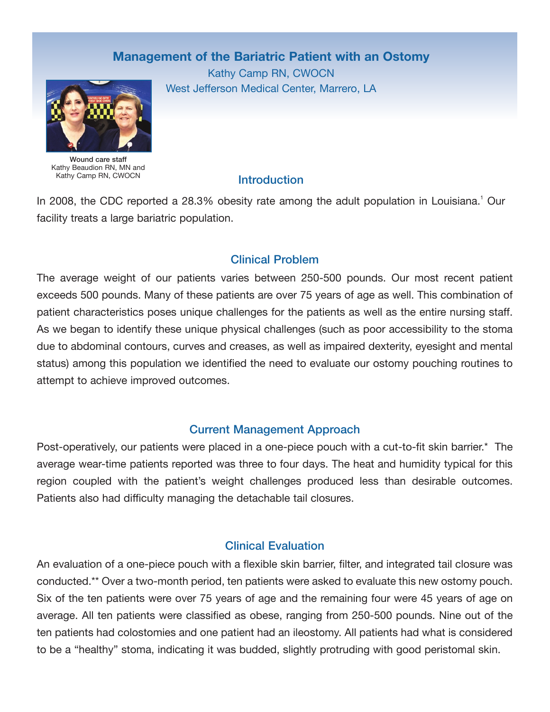# **Management of the Bariatric Patient with an Ostomy**

Kathy Camp RN, CWOCN West Jefferson Medical Center, Marrero, LA



Wound care staff Kathy Beaudion RN, MN and Kathy Camp RN, CWOCN

### **Introduction**

In 2008, the CDC reported a 28.3% obesity rate among the adult population in Louisiana.<sup>1</sup> Our facility treats a large bariatric population.

## Clinical Problem

The average weight of our patients varies between 250-500 pounds. Our most recent patient exceeds 500 pounds. Many of these patients are over 75 years of age as well. This combination of patient characteristics poses unique challenges for the patients as well as the entire nursing staff. As we began to identify these unique physical challenges (such as poor accessibility to the stoma due to abdominal contours, curves and creases, as well as impaired dexterity, eyesight and mental status) among this population we identified the need to evaluate our ostomy pouching routines to attempt to achieve improved outcomes.

### Current Management Approach

Post-operatively, our patients were placed in a one-piece pouch with a cut-to-fit skin barrier.\* The average wear-time patients reported was three to four days. The heat and humidity typical for this region coupled with the patient's weight challenges produced less than desirable outcomes. Patients also had difficulty managing the detachable tail closures.

### Clinical Evaluation

An evaluation of a one-piece pouch with a flexible skin barrier, filter, and integrated tail closure was conducted.\*\* Over a two-month period, ten patients were asked to evaluate this new ostomy pouch. Six of the ten patients were over 75 years of age and the remaining four were 45 years of age on average. All ten patients were classified as obese, ranging from 250-500 pounds. Nine out of the ten patients had colostomies and one patient had an ileostomy. All patients had what is considered to be a "healthy" stoma, indicating it was budded, slightly protruding with good peristomal skin.